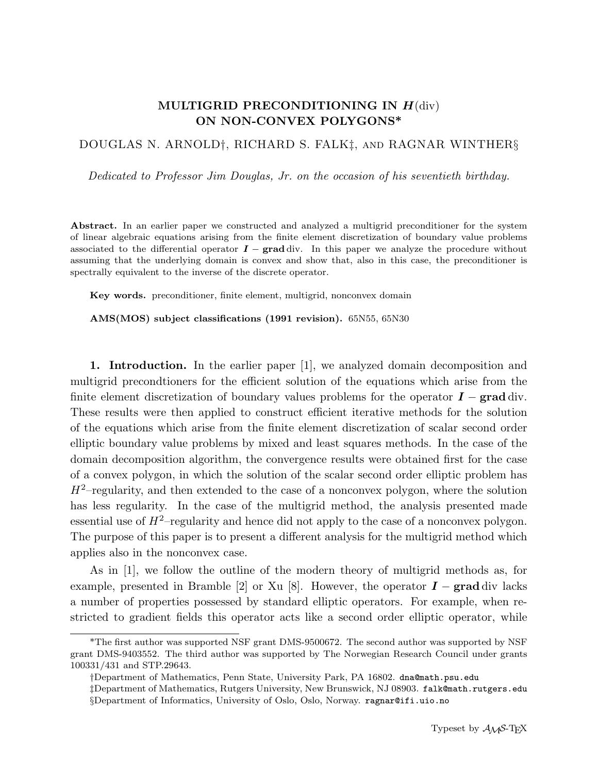## MULTIGRID PRECONDITIONING IN  $H$ (div) ON NON-CONVEX POLYGONS\*

## DOUGLAS N. ARNOLD†, RICHARD S. FALK‡, and RAGNAR WINTHER§

Dedicated to Professor Jim Douglas, Jr. on the occasion of his seventieth birthday.

Abstract. In an earlier paper we constructed and analyzed a multigrid preconditioner for the system of linear algebraic equations arising from the finite element discretization of boundary value problems associated to the differential operator  $I - grad \, \text{div}$ . In this paper we analyze the procedure without assuming that the underlying domain is convex and show that, also in this case, the preconditioner is spectrally equivalent to the inverse of the discrete operator.

Key words. preconditioner, finite element, multigrid, nonconvex domain

AMS(MOS) subject classifications (1991 revision). 65N55, 65N30

1. Introduction. In the earlier paper [1], we analyzed domain decomposition and multigrid precondtioners for the efficient solution of the equations which arise from the finite element discretization of boundary values problems for the operator  $\mathbf{I} - \mathbf{grad} \, \text{div}$ . These results were then applied to construct efficient iterative methods for the solution of the equations which arise from the finite element discretization of scalar second order elliptic boundary value problems by mixed and least squares methods. In the case of the domain decomposition algorithm, the convergence results were obtained first for the case of a convex polygon, in which the solution of the scalar second order elliptic problem has  $H^2$ -regularity, and then extended to the case of a nonconvex polygon, where the solution has less regularity. In the case of the multigrid method, the analysis presented made essential use of  $H^2$ -regularity and hence did not apply to the case of a nonconvex polygon. The purpose of this paper is to present a different analysis for the multigrid method which applies also in the nonconvex case.

As in [1], we follow the outline of the modern theory of multigrid methods as, for example, presented in Bramble [2] or Xu [8]. However, the operator  $\bm{I}$  – grad div lacks a number of properties possessed by standard elliptic operators. For example, when restricted to gradient fields this operator acts like a second order elliptic operator, while

<sup>\*</sup>The first author was supported NSF grant DMS-9500672. The second author was supported by NSF grant DMS-9403552. The third author was supported by The Norwegian Research Council under grants 100331/431 and STP.29643.

<sup>†</sup>Department of Mathematics, Penn State, University Park, PA 16802. dna@math.psu.edu

<sup>‡</sup>Department of Mathematics, Rutgers University, New Brunswick, NJ 08903. falk@math.rutgers.edu §Department of Informatics, University of Oslo, Oslo, Norway. ragnar@ifi.uio.no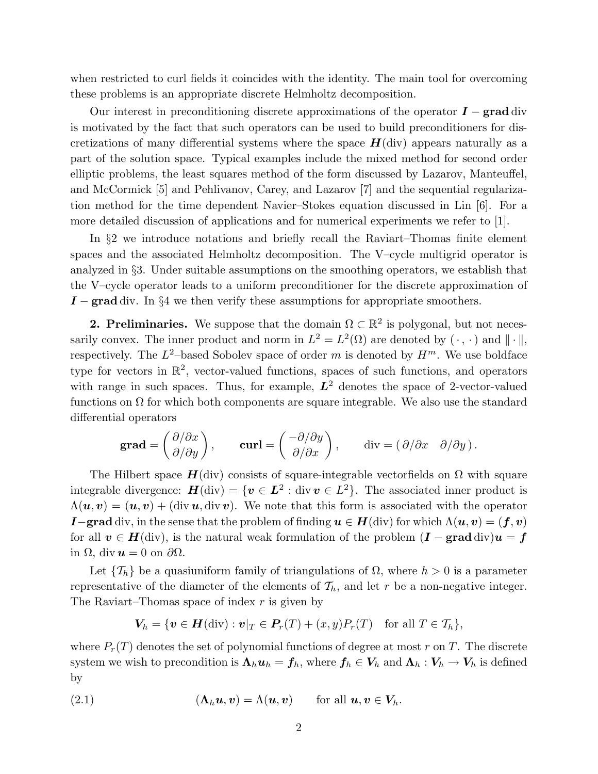when restricted to curl fields it coincides with the identity. The main tool for overcoming these problems is an appropriate discrete Helmholtz decomposition.

Our interest in preconditioning discrete approximations of the operator  $\bm{I}$  – grad div is motivated by the fact that such operators can be used to build preconditioners for discretizations of many differential systems where the space  $H(\text{div})$  appears naturally as a part of the solution space. Typical examples include the mixed method for second order elliptic problems, the least squares method of the form discussed by Lazarov, Manteuffel, and McCormick [5] and Pehlivanov, Carey, and Lazarov [7] and the sequential regularization method for the time dependent Navier–Stokes equation discussed in Lin [6]. For a more detailed discussion of applications and for numerical experiments we refer to [1].

In §2 we introduce notations and briefly recall the Raviart–Thomas finite element spaces and the associated Helmholtz decomposition. The V–cycle multigrid operator is analyzed in §3. Under suitable assumptions on the smoothing operators, we establish that the V–cycle operator leads to a uniform preconditioner for the discrete approximation of  $I$  – grad div. In §4 we then verify these assumptions for appropriate smoothers.

**2. Preliminaries.** We suppose that the domain  $\Omega \subset \mathbb{R}^2$  is polygonal, but not necessarily convex. The inner product and norm in  $L^2 = L^2(\Omega)$  are denoted by  $(\cdot, \cdot)$  and  $\|\cdot\|$ , respectively. The  $L^2$ -based Sobolev space of order m is denoted by  $H^m$ . We use boldface type for vectors in R 2 , vector-valued functions, spaces of such functions, and operators with range in such spaces. Thus, for example,  $L^2$  denotes the space of 2-vector-valued functions on  $\Omega$  for which both components are square integrable. We also use the standard differential operators

$$
\textbf{grad} = \begin{pmatrix} \partial/\partial x \\ \partial/\partial y \end{pmatrix}, \qquad \textbf{curl} = \begin{pmatrix} -\partial/\partial y \\ \partial/\partial x \end{pmatrix}, \qquad \text{div} = (\partial/\partial x \quad \partial/\partial y).
$$

The Hilbert space  $H$ (div) consists of square-integrable vectorfields on  $\Omega$  with square integrable divergence:  $\boldsymbol{H}(\text{div}) = \{\boldsymbol{v} \in L^2 : \text{div } \boldsymbol{v} \in L^2\}$ . The associated inner product is  $\Lambda(\mathbf{u}, \mathbf{v}) = (\mathbf{u}, \mathbf{v}) + (\text{div } \mathbf{u}, \text{div } \mathbf{v}).$  We note that this form is associated with the operator **I**−grad div, in the sense that the problem of finding  $u \in H$ (div) for which  $\Lambda(u, v) = (f, v)$ for all  $v \in H(\text{div})$ , is the natural weak formulation of the problem  $(I - \text{grad div})u = f$ in Ω, div  $u = 0$  on  $\partial \Omega$ .

Let  $\{\mathcal{T}_h\}$  be a quasiuniform family of triangulations of  $\Omega$ , where  $h > 0$  is a parameter representative of the diameter of the elements of  $\mathcal{T}_h$ , and let r be a non-negative integer. The Raviart–Thomas space of index  $r$  is given by

$$
\mathbf{V}_h = \{ \mathbf{v} \in \mathbf{H}(\text{div}) : \mathbf{v}|_T \in \mathbf{P}_r(T) + (x, y)P_r(T) \quad \text{for all } T \in \mathcal{T}_h \},
$$

where  $P_r(T)$  denotes the set of polynomial functions of degree at most r on T. The discrete system we wish to precondition is  $\Lambda_h u_h = f_h$ , where  $f_h \in V_h$  and  $\Lambda_h : V_h \to V_h$  is defined by

(2.1) 
$$
(\mathbf{\Lambda}_h \mathbf{u}, \mathbf{v}) = \Lambda(\mathbf{u}, \mathbf{v}) \quad \text{for all } \mathbf{u}, \mathbf{v} \in \mathbf{V}_h.
$$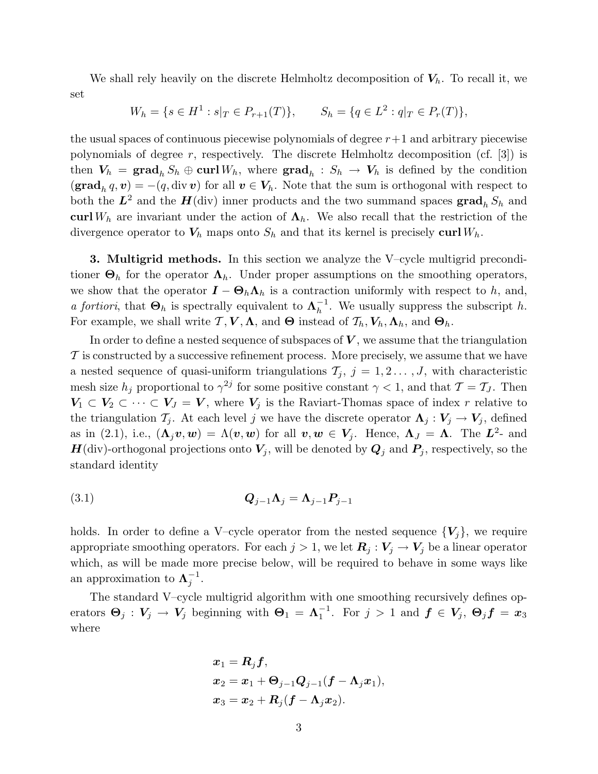We shall rely heavily on the discrete Helmholtz decomposition of  $V_h$ . To recall it, we set

$$
W_h = \{ s \in H^1 : s|_T \in P_{r+1}(T) \}, \qquad S_h = \{ q \in L^2 : q|_T \in P_r(T) \},
$$

the usual spaces of continuous piecewise polynomials of degree  $r+1$  and arbitrary piecewise polynomials of degree  $r$ , respectively. The discrete Helmholtz decomposition (cf. [3]) is then  $V_h = \text{grad}_h S_h \oplus \text{curl } W_h$ , where  $\text{grad}_h : S_h \to V_h$  is defined by the condition  $(\textbf{grad}_h q, v) = -(q, \text{div } v)$  for all  $v \in V_h$ . Note that the sum is orthogonal with respect to both the  $L^2$  and the  $H$ (div) inner products and the two summand spaces  $\operatorname{grad}_h S_h$  and curl W<sub>h</sub> are invariant under the action of  $\Lambda_h$ . We also recall that the restriction of the divergence operator to  $V_h$  maps onto  $S_h$  and that its kernel is precisely curl  $W_h$ .

3. Multigrid methods. In this section we analyze the V–cycle multigrid preconditioner  $\Theta_h$  for the operator  $\Lambda_h$ . Under proper assumptions on the smoothing operators, we show that the operator  $\mathbf{I} - \mathbf{\Theta}_h \mathbf{\Lambda}_h$  is a contraction uniformly with respect to h, and, *a fortiori*, that  $\Theta_h$  is spectrally equivalent to  $\Lambda_h^{-1}$  $h^{-1}$ . We usually suppress the subscript h. For example, we shall write  $\mathcal{T}, \mathcal{V}, \Lambda$ , and  $\Theta$  instead of  $\mathcal{T}_h, V_h, \Lambda_h$ , and  $\Theta_h$ .

In order to define a nested sequence of subspaces of  $V$ , we assume that the triangulation  $\mathcal T$  is constructed by a successive refinement process. More precisely, we assume that we have a nested sequence of quasi-uniform triangulations  $\mathcal{T}_j$ ,  $j = 1, 2, \ldots, J$ , with characteristic mesh size  $h_j$  proportional to  $\gamma^{2j}$  for some positive constant  $\gamma < 1$ , and that  $\mathcal{T} = \mathcal{T}_J$ . Then  $V_1 \subset V_2 \subset \cdots \subset V_J = V$ , where  $V_j$  is the Raviart-Thomas space of index r relative to the triangulation  $\mathcal{T}_j$ . At each level j we have the discrete operator  $\Lambda_j: V_j \to V_j$ , defined as in (2.1), i.e.,  $(\Lambda_j v, w) = \Lambda(v, w)$  for all  $v, w \in V_j$ . Hence,  $\Lambda_j = \Lambda$ . The  $L^2$ - and  $H(\text{div})$ -orthogonal projections onto  $V_j$ , will be denoted by  $Q_j$  and  $P_j$ , respectively, so the standard identity

$$
Q_{j-1}\Lambda_j = \Lambda_{j-1}P_{j-1}
$$

holds. In order to define a V–cycle operator from the nested sequence  ${V_i}$ , we require appropriate smoothing operators. For each  $j > 1$ , we let  $\mathbf{R}_j : V_j \to V_j$  be a linear operator which, as will be made more precise below, will be required to behave in some ways like an approximation to  $\Lambda_i^{-1}$  $\frac{-1}{j}$ .

The standard V–cycle multigrid algorithm with one smoothing recursively defines operators  $\mathbf{\Theta}_j : \mathbf{V}_j \to \mathbf{V}_j$  beginning with  $\mathbf{\Theta}_1 = \mathbf{\Lambda}_1^{-1}$  $\frac{-1}{1}$ . For  $j > 1$  and  $\boldsymbol{f} \in V_j$ ,  $\boldsymbol{\Theta}_j \boldsymbol{f} = \boldsymbol{x}_3$ where

$$
\begin{aligned} &\boldsymbol{x}_1 = \boldsymbol{R}_j \boldsymbol{f}, \\ &\boldsymbol{x}_2 = \boldsymbol{x}_1 + \boldsymbol{\Theta}_{j-1} \boldsymbol{Q}_{j-1} (\boldsymbol{f} - \boldsymbol{\Lambda}_j \boldsymbol{x}_1), \\ &\boldsymbol{x}_3 = \boldsymbol{x}_2 + \boldsymbol{R}_j (\boldsymbol{f} - \boldsymbol{\Lambda}_j \boldsymbol{x}_2). \end{aligned}
$$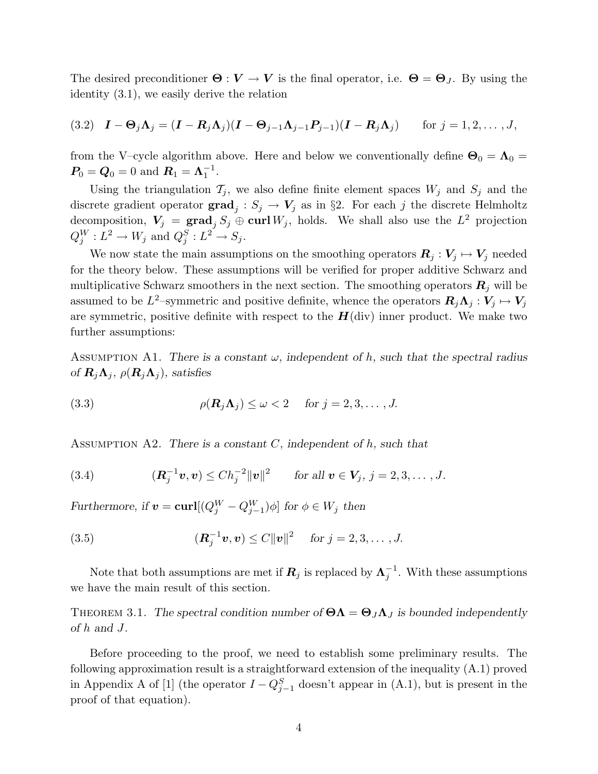The desired preconditioner  $\Theta : V \to V$  is the final operator, i.e.  $\Theta = \Theta_J$ . By using the identity (3.1), we easily derive the relation

(3.2) 
$$
\mathbf{I} - \mathbf{\Theta}_j \mathbf{\Lambda}_j = (\mathbf{I} - \mathbf{R}_j \mathbf{\Lambda}_j)(\mathbf{I} - \mathbf{\Theta}_{j-1} \mathbf{\Lambda}_{j-1} \mathbf{P}_{j-1})(\mathbf{I} - \mathbf{R}_j \mathbf{\Lambda}_j)
$$
 for  $j = 1, 2, ..., J$ ,

from the V–cycle algorithm above. Here and below we conventionally define  $\Theta_0 = \Lambda_0 =$  $P_0 = Q_0 = 0$  and  $R_1 = \Lambda_1^{-1}$  $\frac{-1}{1}$ .

Using the triangulation  $\mathcal{T}_j$ , we also define finite element spaces  $W_j$  and  $S_j$  and the discrete gradient operator  $\mathbf{grad}_j : S_j \to V_j$  as in §2. For each j the discrete Helmholtz decomposition,  $V_j = \text{grad}_j S_j \oplus \text{curl } W_j$ , holds. We shall also use the  $L^2$  projection  $Q_j^W: L^2 \to W_j \text{ and } Q_j^S: L^2 \to S_j.$ 

We now state the main assumptions on the smoothing operators  $\mathbf{R}_j : V_j \mapsto V_j$  needed for the theory below. These assumptions will be verified for proper additive Schwarz and multiplicative Schwarz smoothers in the next section. The smoothing operators  $\mathbf{R}_i$  will be assumed to be  $L^2$ -symmetric and positive definite, whence the operators  $\mathbf{R}_j \Lambda_j : V_j \mapsto V_j$ are symmetric, positive definite with respect to the  $H(\text{div})$  inner product. We make two further assumptions:

ASSUMPTION A1. There is a constant  $\omega$ , independent of h, such that the spectral radius of  $\mathbf{R}_i \mathbf{\Lambda}_j$ ,  $\rho(\mathbf{R}_i \mathbf{\Lambda}_j)$ , satisfies

(3.3) 
$$
\rho(\mathbf{R}_j \Lambda_j) \leq \omega < 2 \quad \text{for } j = 2, 3, \dots, J.
$$

ASSUMPTION A2. There is a constant  $C$ , independent of  $h$ , such that

(3.4) 
$$
(\mathbf{R}_j^{-1} \mathbf{v}, \mathbf{v}) \leq Ch_j^{-2} ||\mathbf{v}||^2 \quad \text{for all } \mathbf{v} \in \mathbf{V}_j, j = 2, 3, ..., J.
$$

Furthermore, if  $\mathbf{v} = \mathbf{curl}[(Q_j^W - Q_{j-1}^W)\phi]$  for  $\phi \in W_j$  then

(3.5) 
$$
(\mathbf{R}_{j}^{-1}\mathbf{v}, \mathbf{v}) \leq C \|\mathbf{v}\|^{2} \quad \text{for } j = 2, 3, ..., J.
$$

Note that both assumptions are met if  $\boldsymbol{R}_j$  is replaced by  $\boldsymbol{\Lambda}_j^{-1}$  $j^{-1}$ . With these assumptions we have the main result of this section.

THEOREM 3.1. The spectral condition number of  $\Theta \Lambda = \Theta_J \Lambda_J$  is bounded independently of h and J.

Before proceeding to the proof, we need to establish some preliminary results. The following approximation result is a straightforward extension of the inequality (A.1) proved in Appendix A of [1] (the operator  $I - Q_{j-1}^S$  doesn't appear in (A.1), but is present in the proof of that equation).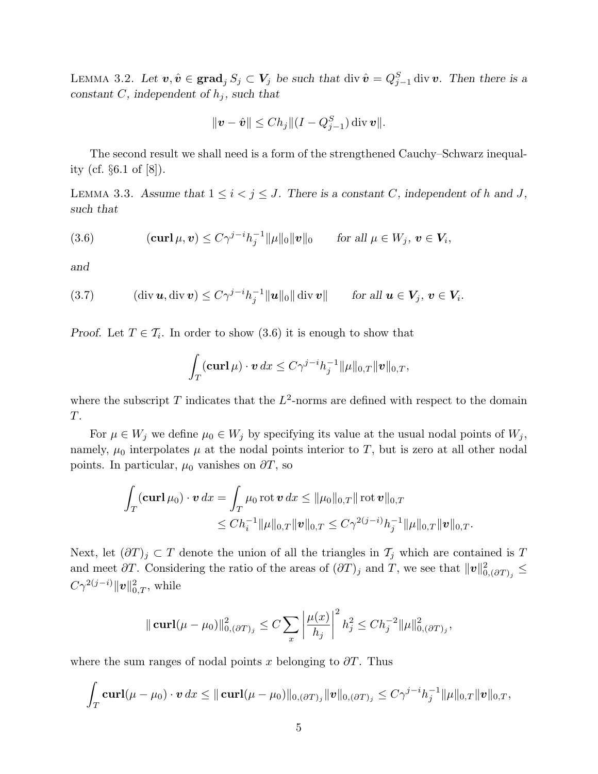LEMMA 3.2. Let  $v, \hat{v} \in \text{grad}_j S_j \subset V_j$  be such that div  $\hat{v} = Q_{j-1}^S$  div  $v$ . Then there is a constant C, independent of  $h_j$ , such that

$$
||\mathbf{v} - \hat{\mathbf{v}}|| \leq Ch_j ||(I - Q_{j-1}^S) \operatorname{div} \mathbf{v}||.
$$

The second result we shall need is a form of the strengthened Cauchy–Schwarz inequality (cf. §6.1 of [8]).

LEMMA 3.3. Assume that  $1 \leq i < j \leq J$ . There is a constant C, independent of h and J, such that

(3.6) 
$$
(\mathbf{curl}\,\mu,\mathbf{v})\leq C\gamma^{j-i}h_j^{-1}\|\mu\|_0\|\mathbf{v}\|_0 \quad \text{for all }\mu\in W_j,\,\mathbf{v}\in V_i,
$$

and

(3.7) 
$$
(\operatorname{div} \boldsymbol{u}, \operatorname{div} \boldsymbol{v}) \leq C \gamma^{j-i} h_j^{-1} ||\boldsymbol{u}||_0 || \operatorname{div} \boldsymbol{v}|| \quad \text{for all } \boldsymbol{u} \in V_j, \, \boldsymbol{v} \in V_i.
$$

*Proof.* Let  $T \in \mathcal{T}_i$ . In order to show  $(3.6)$  it is enough to show that

$$
\int_T (\mathbf{curl}\,\mu) \cdot \mathbf{v} \, dx \le C\gamma^{j-i} h_j^{-1} \|\mu\|_{0,T} \|\mathbf{v}\|_{0,T},
$$

where the subscript T indicates that the  $L^2$ -norms are defined with respect to the domain T.

For  $\mu \in W_j$  we define  $\mu_0 \in W_j$  by specifying its value at the usual nodal points of  $W_j$ , namely,  $\mu_0$  interpolates  $\mu$  at the nodal points interior to T, but is zero at all other nodal points. In particular,  $\mu_0$  vanishes on  $\partial T$ , so

$$
\int_T (\mathbf{curl}\,\mu_0)\cdot \boldsymbol{v} \,dx = \int_T \mu_0 \operatorname{rot} \boldsymbol{v} \,dx \le \|\mu_0\|_{0,T} \|\operatorname{rot} \boldsymbol{v}\|_{0,T} \le Ch_i^{-1} \|\mu\|_{0,T} \|\boldsymbol{v}\|_{0,T} \le C\gamma^{2(j-i)} h_j^{-1} \|\mu\|_{0,T} \|\boldsymbol{v}\|_{0,T}.
$$

Next, let  $(\partial T)_j \subset T$  denote the union of all the triangles in  $\mathcal{T}_j$  which are contained is T and meet  $\partial T$ . Considering the ratio of the areas of  $(\partial T)_j$  and T, we see that  $||\boldsymbol{v}||_0^2$  $_{0,\left( \partial T\right) _{j}}^{2}\leq$  $C\gamma^{2(j-i)}\|\boldsymbol{v}\|_{0,T}^2$ , while

$$
\|\operatorname{curl}(\mu-\mu_0)\|_{0,(\partial T)_j}^2 \le C \sum_x \left|\frac{\mu(x)}{h_j}\right|^2 h_j^2 \le Ch_j^{-2} \|\mu\|_{0,(\partial T)_j}^2,
$$

where the sum ranges of nodal points x belonging to  $\partial T$ . Thus

$$
\int_T \mathbf{curl}(\mu - \mu_0) \cdot \mathbf{v} \, dx \leq ||\mathbf{curl}(\mu - \mu_0)||_{0,(\partial T)_j} ||\mathbf{v}||_{0,(\partial T)_j} \leq C\gamma^{j-i}h_j^{-1}||\mu||_{0,T} ||\mathbf{v}||_{0,T},
$$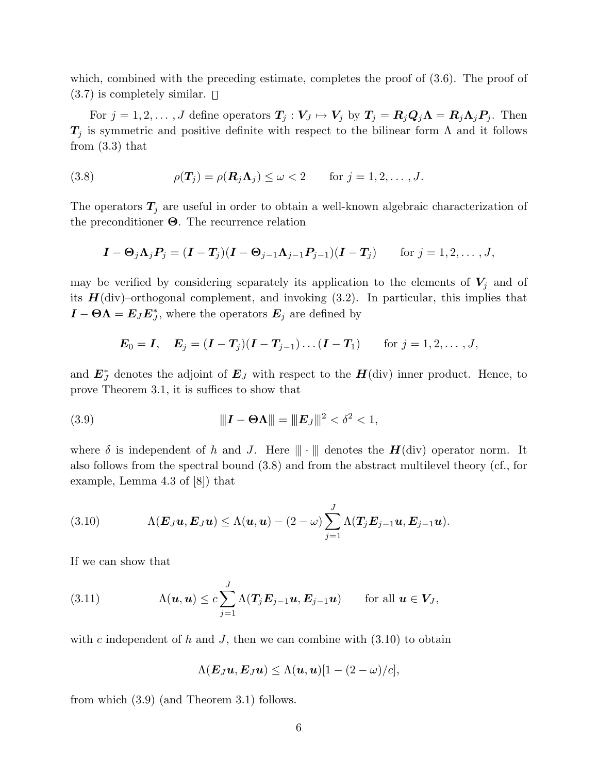which, combined with the preceding estimate, completes the proof of  $(3.6)$ . The proof of  $(3.7)$  is completely similar.  $\square$ 

For  $j = 1, 2, ..., J$  define operators  $T_j : V_J \mapsto V_j$  by  $T_j = R_j Q_j \Lambda = R_j \Lambda_j P_j$ . Then  $T_j$  is symmetric and positive definite with respect to the bilinear form  $\Lambda$  and it follows from (3.3) that

(3.8) 
$$
\rho(\mathbf{T}_j) = \rho(\mathbf{R}_j \mathbf{\Lambda}_j) \leq \omega < 2 \quad \text{for } j = 1, 2, \dots, J.
$$

The operators  $T_j$  are useful in order to obtain a well-known algebraic characterization of the preconditioner  $\Theta$ . The recurrence relation

$$
\boldsymbol{I} - \boldsymbol{\Theta}_j \boldsymbol{\Lambda}_j \boldsymbol{P}_j = (\boldsymbol{I} - \boldsymbol{T}_j)(\boldsymbol{I} - \boldsymbol{\Theta}_{j-1} \boldsymbol{\Lambda}_{j-1} \boldsymbol{P}_{j-1})(\boldsymbol{I} - \boldsymbol{T}_j) \quad \text{for } j = 1, 2, \dots, J,
$$

may be verified by considering separately its application to the elements of  $V_j$  and of its  $H(\text{div})$ -orthogonal complement, and invoking  $(3.2)$ . In particular, this implies that  $\mathbf{I} - \mathbf{\Theta} \mathbf{\Lambda} = \mathbf{E}_{J} \mathbf{E}_{J}^{*}$ , where the operators  $\mathbf{E}_{j}$  are defined by

$$
E_0 = I, \quad E_j = (I - T_j)(I - T_{j-1})\dots(I - T_1) \quad \text{for } j = 1, 2, \dots, J,
$$

and  $\mathbf{E}_{J}^{*}$  denotes the adjoint of  $\mathbf{E}_{J}$  with respect to the  $\mathbf{H}$ (div) inner product. Hence, to prove Theorem 3.1, it is suffices to show that

(3.9) 
$$
\|I - \Theta \Lambda\| = \|E_J\|^2 < \delta^2 < 1,
$$

where  $\delta$  is independent of h and J. Here  $\|\cdot\|$  denotes the  $H(\text{div})$  operator norm. It also follows from the spectral bound (3.8) and from the abstract multilevel theory (cf., for example, Lemma 4.3 of [8]) that

(3.10) 
$$
\Lambda(E_J\boldsymbol{u},E_J\boldsymbol{u})\leq \Lambda(\boldsymbol{u},\boldsymbol{u})-(2-\omega)\sum_{j=1}^J\Lambda(T_jE_{j-1}\boldsymbol{u},E_{j-1}\boldsymbol{u}).
$$

If we can show that

(3.11) 
$$
\Lambda(\boldsymbol{u},\boldsymbol{u}) \leq c \sum_{j=1}^{J} \Lambda(\boldsymbol{T}_j \boldsymbol{E}_{j-1} \boldsymbol{u}, \boldsymbol{E}_{j-1} \boldsymbol{u}) \quad \text{for all } \boldsymbol{u} \in \boldsymbol{V}_J,
$$

with c independent of h and J, then we can combine with  $(3.10)$  to obtain

$$
\Lambda(E_J u, E_J u) \leq \Lambda(u, u)[1 - (2 - \omega)/c],
$$

from which (3.9) (and Theorem 3.1) follows.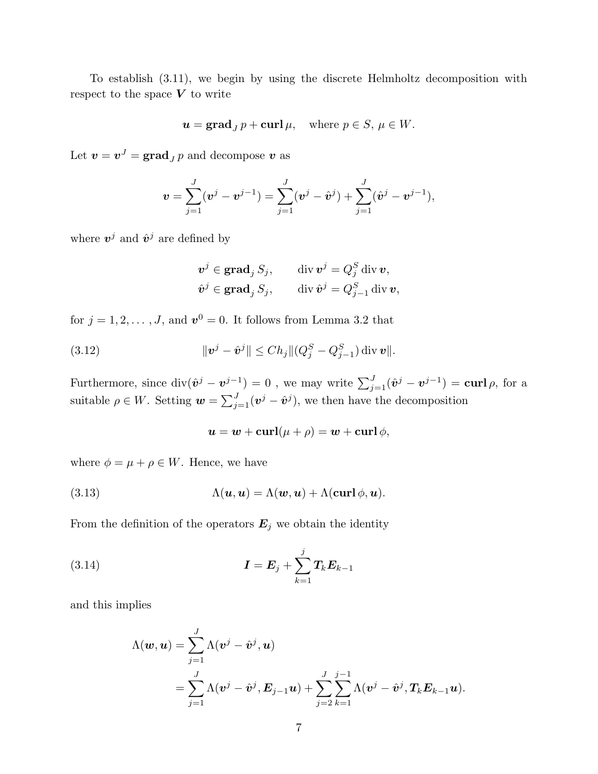To establish (3.11), we begin by using the discrete Helmholtz decomposition with respect to the space  $V$  to write

$$
\mathbf{u} = \mathbf{grad}_J \, p + \mathbf{curl} \, \mu, \quad \text{where } p \in S, \, \mu \in W.
$$

Let  $\boldsymbol{v} = \boldsymbol{v}^J = \mathbf{grad}_J p$  and decompose  $\boldsymbol{v}$  as

$$
\boldsymbol{v} = \sum_{j=1}^J (\boldsymbol{v}^j - \boldsymbol{v}^{j-1}) = \sum_{j=1}^J (\boldsymbol{v}^j - \hat{\boldsymbol{v}}^j) + \sum_{j=1}^J (\hat{\boldsymbol{v}}^j - \boldsymbol{v}^{j-1}),
$$

where  $v^j$  and  $\hat{v}^j$  are defined by

$$
\begin{aligned}\n\boldsymbol{v}^j \in \mathbf{grad}_j \, S_j, \qquad \mathrm{div} \, \boldsymbol{v}^j = Q_j^S \, \mathrm{div} \, \boldsymbol{v}, \\
\hat{\boldsymbol{v}}^j \in \mathbf{grad}_j \, S_j, \qquad \mathrm{div} \, \hat{\boldsymbol{v}}^j = Q_{j-1}^S \, \mathrm{div} \, \boldsymbol{v},\n\end{aligned}
$$

for  $j = 1, 2, ..., J$ , and  $v^0 = 0$ . It follows from Lemma 3.2 that

(3.12) 
$$
\|\bm{v}^j - \hat{\bm{v}}^j\| \leq Ch_j \|(Q_j^S - Q_{j-1}^S) \operatorname{div} \bm{v}\|.
$$

Furthermore, since  $\text{div}(\hat{v}^j - v^{j-1}) = 0$  , we may write  $\sum_{j=1}^J (\hat{v}^j - v^{j-1}) = \text{curl } \rho$ , for a suitable  $\rho \in W$ . Setting  $\mathbf{w} = \sum_{j=1}^{J} (\mathbf{v}^j - \hat{\mathbf{v}}^j)$ , we then have the decomposition

$$
\mathbf{u} = \mathbf{w} + \mathbf{curl}(\mu + \rho) = \mathbf{w} + \mathbf{curl} \phi,
$$

where  $\phi = \mu + \rho \in W$ . Hence, we have

(3.13) 
$$
\Lambda(\mathbf{u},\mathbf{u}) = \Lambda(\mathbf{w},\mathbf{u}) + \Lambda(\mathbf{curl}\phi,\mathbf{u}).
$$

From the definition of the operators  $\mathbf{E}_j$  we obtain the identity

(3.14) 
$$
I = E_j + \sum_{k=1}^{j} T_k E_{k-1}
$$

and this implies

$$
\Lambda(\boldsymbol{w}, \boldsymbol{u}) = \sum_{j=1}^J \Lambda(\boldsymbol{v}^j - \hat{\boldsymbol{v}}^j, \boldsymbol{u})
$$
  
= 
$$
\sum_{j=1}^J \Lambda(\boldsymbol{v}^j - \hat{\boldsymbol{v}}^j, \boldsymbol{E}_{j-1}\boldsymbol{u}) + \sum_{j=2}^J \sum_{k=1}^{j-1} \Lambda(\boldsymbol{v}^j - \hat{\boldsymbol{v}}^j, \boldsymbol{T}_k \boldsymbol{E}_{k-1}\boldsymbol{u}).
$$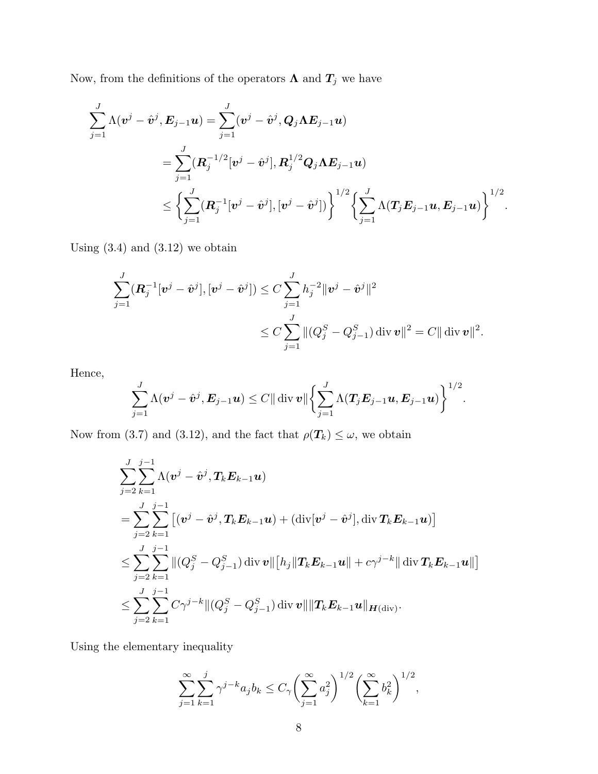Now, from the definitions of the operators  $\boldsymbol{\Lambda}$  and  $\boldsymbol{T_j}$  we have

$$
\begin{aligned} \sum_{j=1}^J \Lambda(\bm{v}^j - \hat{\bm{v}}^j, \bm{E}_{j-1} \bm{u}) &= \sum_{j=1}^J (\bm{v}^j - \hat{\bm{v}}^j, \bm{Q}_j \bm{\Lambda} \bm{E}_{j-1} \bm{u}) \\ &= \sum_{j=1}^J (\bm{R}_j^{-1/2} [\bm{v}^j - \hat{\bm{v}}^j], \bm{R}_j^{1/2} \bm{Q}_j \bm{\Lambda} \bm{E}_{j-1} \bm{u}) \\ & \leq \biggl\{ \sum_{j=1}^J (\bm{R}_j^{-1} [\bm{v}^j - \hat{\bm{v}}^j], [\bm{v}^j - \hat{\bm{v}}^j]) \biggr\}^{1/2} \biggl\{ \sum_{j=1}^J \Lambda(\bm{T}_j \bm{E}_{j-1} \bm{u}, \bm{E}_{j-1} \bm{u}) \biggr\}^{1/2}. \end{aligned}
$$

Using  $(3.4)$  and  $(3.12)$  we obtain

$$
\sum_{j=1}^{J} (\mathbf{R}_{j}^{-1}[\mathbf{v}^{j} - \hat{\mathbf{v}}^{j}], [\mathbf{v}^{j} - \hat{\mathbf{v}}^{j}]) \leq C \sum_{j=1}^{J} h_{j}^{-2} \|\mathbf{v}^{j} - \hat{\mathbf{v}}^{j}\|^{2}
$$
  

$$
\leq C \sum_{j=1}^{J} \| (Q_{j}^{S} - Q_{j-1}^{S}) \operatorname{div} \mathbf{v} \|^{2} = C \| \operatorname{div} \mathbf{v} \|^{2}.
$$

Hence,

$$
\sum_{j=1}^J \Lambda(\boldsymbol{v}^j - \hat{\boldsymbol{v}}^j, \boldsymbol{E}_{j-1}\boldsymbol{u}) \leq C \|\operatorname{div} \boldsymbol{v}\| \bigg\{\sum_{j=1}^J \Lambda(T_j \boldsymbol{E}_{j-1}\boldsymbol{u}, \boldsymbol{E}_{j-1}\boldsymbol{u})\bigg\}^{1/2}.
$$

Now from (3.7) and (3.12), and the fact that  $\rho(T_k) \leq \omega$ , we obtain

$$
\begin{aligned} & \sum_{j=2}^J \sum_{k=1}^{j-1} \Lambda(\bm{v}^j - \hat{\bm{v}}^j, \bm{T}_k \bm{E}_{k-1} \bm{u}) \\ &= \sum_{j=2}^J \sum_{k=1}^{j-1} \left[ (\bm{v}^j - \hat{\bm{v}}^j, \bm{T}_k \bm{E}_{k-1} \bm{u}) + (\text{div}[\bm{v}^j - \hat{\bm{v}}^j], \text{div} \, \bm{T}_k \bm{E}_{k-1} \bm{u}) \right] \\ & \leq \sum_{j=2}^J \sum_{k=1}^{j-1} \| (Q_j^S - Q_{j-1}^S) \, \text{div} \, \bm{v} \| \big[ h_j \| \bm{T}_k \bm{E}_{k-1} \bm{u} \| + c \gamma^{j-k} \| \, \text{div} \, \bm{T}_k \bm{E}_{k-1} \bm{u} \| \big] \\ & \leq \sum_{j=2}^J \sum_{k=1}^{j-1} C \gamma^{j-k} \| (Q_j^S - Q_{j-1}^S) \, \text{div} \, \bm{v} \| \| \bm{T}_k \bm{E}_{k-1} \bm{u} \|_{\bm{H}(\text{div})}. \end{aligned}
$$

Using the elementary inequality

$$
\sum_{j=1}^{\infty} \sum_{k=1}^{j} \gamma^{j-k} a_j b_k \le C_{\gamma} \left( \sum_{j=1}^{\infty} a_j^2 \right)^{1/2} \left( \sum_{k=1}^{\infty} b_k^2 \right)^{1/2},
$$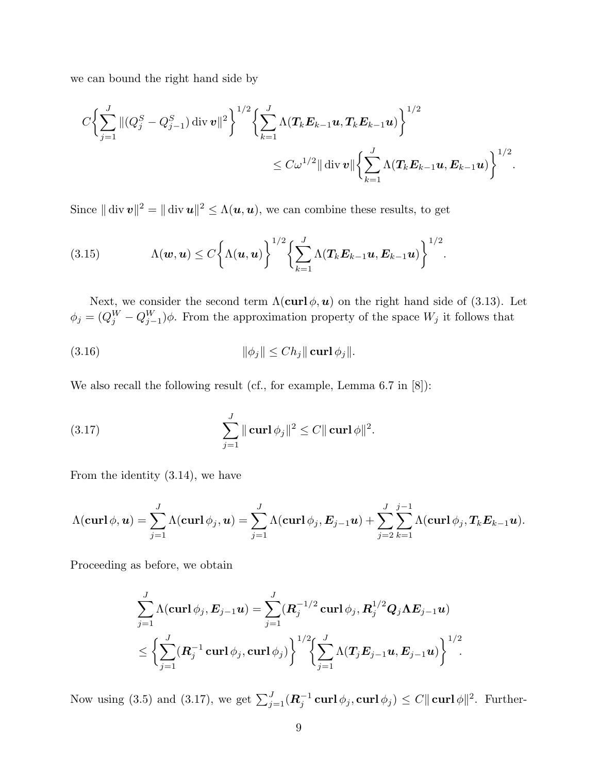we can bound the right hand side by

$$
C\bigg\{\sum_{j=1}^J\|(Q_j^S-Q_{j-1}^S)\operatorname{div} \boldsymbol{v}\|^2\bigg\}^{1/2}\bigg\{\sum_{k=1}^J\Lambda(T_k\boldsymbol{E}_{k-1}\boldsymbol{u},T_k\boldsymbol{E}_{k-1}\boldsymbol{u})\bigg\}^{1/2} \\qquad \qquad \leq C\omega^{1/2}\|\operatorname{div} \boldsymbol{v}\|\bigg\{\sum_{k=1}^J\Lambda(T_k\boldsymbol{E}_{k-1}\boldsymbol{u},\boldsymbol{E}_{k-1}\boldsymbol{u})\bigg\}^{1/2}.
$$

Since  $\|\text{div } v\|^2 = \|\text{div } u\|^2 \leq \Lambda(u, u)$ , we can combine these results, to get

(3.15) 
$$
\Lambda(\boldsymbol{w},\boldsymbol{u}) \leq C \bigg\{ \Lambda(\boldsymbol{u},\boldsymbol{u}) \bigg\}^{1/2} \bigg\{ \sum_{k=1}^J \Lambda(T_k E_{k-1}\boldsymbol{u}, E_{k-1}\boldsymbol{u}) \bigg\}^{1/2}.
$$

Next, we consider the second term  $\Lambda(\text{curl } \phi, \mathbf{u})$  on the right hand side of (3.13). Let  $\phi_j = (Q_j^W - Q_{j-1}^W)\phi$ . From the approximation property of the space  $W_j$  it follows that

(3.16) 
$$
\|\phi_j\| \leq Ch_j \|\operatorname{curl} \phi_j\|.
$$

We also recall the following result (cf., for example, Lemma 6.7 in [8]):

(3.17) 
$$
\sum_{j=1}^{J} || \mathbf{curl} \, \phi_j ||^2 \leq C || \mathbf{curl} \, \phi ||^2.
$$

From the identity (3.14), we have

$$
\Lambda(\boldsymbol{\operatorname{curl}}\,\phi,\boldsymbol{u})=\sum_{j=1}^J\Lambda(\boldsymbol{\operatorname{curl}}\,\phi_j,\boldsymbol{u})=\sum_{j=1}^J\Lambda(\boldsymbol{\operatorname{curl}}\,\phi_j,\boldsymbol{E}_{j-1}\boldsymbol{u})+\sum_{j=2}^J\sum_{k=1}^{j-1}\Lambda(\boldsymbol{\operatorname{curl}}\,\phi_j,\boldsymbol{T}_k\boldsymbol{E}_{k-1}\boldsymbol{u}).
$$

Proceeding as before, we obtain

$$
\begin{aligned} &\sum_{j=1}^{J}\Lambda(\boldsymbol{\mathrm{curl}}\,\phi_{j},\boldsymbol{E}_{j-1}\boldsymbol{u})=\sum_{j=1}^{J}(\boldsymbol{R}_{j}^{-1/2}\,\boldsymbol{\mathrm{curl}}\,\phi_{j},\boldsymbol{R}_{j}^{1/2}\boldsymbol{Q}_{j}\Lambda\boldsymbol{E}_{j-1}\boldsymbol{u})\\ &\leq\biggl\{\sum_{j=1}^{J}(\boldsymbol{R}_{j}^{-1}\,\boldsymbol{\mathrm{curl}}\,\phi_{j},\boldsymbol{\mathrm{curl}}\,\phi_{j})\biggr\}^{1/2}\biggl\{\sum_{j=1}^{J}\Lambda(\boldsymbol{T}_{j}\boldsymbol{E}_{j-1}\boldsymbol{u},\boldsymbol{E}_{j-1}\boldsymbol{u})\biggr\}^{1/2}.\end{aligned}
$$

Now using (3.5) and (3.17), we get  $\sum_{j=1}^{J} (\boldsymbol{R}_{j}^{-1} \boldsymbol{\mathrm{curl}} \, \phi_j, \boldsymbol{\mathrm{curl}} \, \phi_j) \leq C ||\boldsymbol{\mathrm{curl}} \, \phi||^2$ . Further-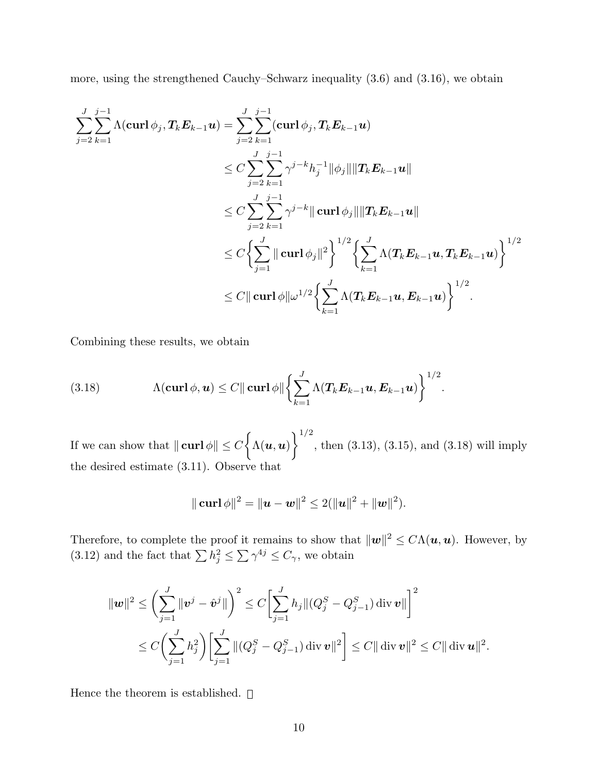more, using the strengthened Cauchy–Schwarz inequality (3.6) and (3.16), we obtain

$$
\begin{aligned} \sum_{j=2}^J \sum_{k=1}^{j-1} & \Lambda(\mathbf{curl}\,\phi_j,\bm{T}_k\bm{E}_{k-1}\bm{u}) = \sum_{j=2}^J \sum_{k=1}^{j-1}(\mathbf{curl}\,\phi_j,\bm{T}_k\bm{E}_{k-1}\bm{u}) \\ & \leq C \sum_{j=2}^J \sum_{k=1}^{j-1} \gamma^{j-k} h_j^{-1} \|\phi_j\| \|\bm{T}_k\bm{E}_{k-1}\bm{u}\| \\ & \leq C \sum_{j=2}^J \sum_{k=1}^{j-1} \gamma^{j-k} \|\mathbf{curl}\,\phi_j\| \|\bm{T}_k\bm{E}_{k-1}\bm{u}\| \\ & \leq C \biggl\{ \sum_{j=1}^J \|\mathbf{curl}\,\phi_j\|^2 \biggr\}^{1/2} \biggl\{ \sum_{k=1}^J \Lambda(\bm{T}_k\bm{E}_{k-1}\bm{u},\bm{T}_k\bm{E}_{k-1}\bm{u}) \biggr\}^{1/2} \\ & \leq C \|\mathbf{curl}\,\phi\| \omega^{1/2} \biggl\{ \sum_{k=1}^J \Lambda(\bm{T}_k\bm{E}_{k-1}\bm{u},\bm{E}_{k-1}\bm{u}) \biggr\}^{1/2} . \end{aligned}
$$

Combining these results, we obtain

(3.18) 
$$
\Lambda(\operatorname{curl} \phi, \boldsymbol{u}) \leq C \|\operatorname{curl} \phi\| \left\{ \sum_{k=1}^J \Lambda(T_k E_{k-1} \boldsymbol{u}, E_{k-1} \boldsymbol{u}) \right\}^{1/2}.
$$

If we can show that  $\|\operatorname{curl} \phi\| \le C \left\{ \Lambda(u, u) \right\}^{1/2}$ , then (3.13), (3.15), and (3.18) will imply the desired estimate (3.11). Observe that

$$
\|\operatorname{curl} \phi\|^2 = \|u - w\|^2 \le 2(\|u\|^2 + \|w\|^2).
$$

Therefore, to complete the proof it remains to show that  $\|\mathbf{w}\|^2 \leq C\Lambda(\mathbf{u},\mathbf{u})$ . However, by (3.12) and the fact that  $\sum_{j} h_j^2 \leq \sum_{j} \gamma^{4j} \leq C_{\gamma}$ , we obtain

$$
\|\mathbf{w}\|^2 \leq \left(\sum_{j=1}^J \|\mathbf{v}^j - \hat{\mathbf{v}}^j\|\right)^2 \leq C \bigg[\sum_{j=1}^J h_j \| (Q_j^S - Q_{j-1}^S) \operatorname{div} \mathbf{v} \|\bigg]^2
$$
  

$$
\leq C \bigg(\sum_{j=1}^J h_j^2\bigg) \bigg[\sum_{j=1}^J \|(Q_j^S - Q_{j-1}^S) \operatorname{div} \mathbf{v} \|^2\bigg] \leq C \|\operatorname{div} \mathbf{v} \|^2 \leq C \|\operatorname{div} \mathbf{u} \|^2.
$$

Hence the theorem is established.  $\square$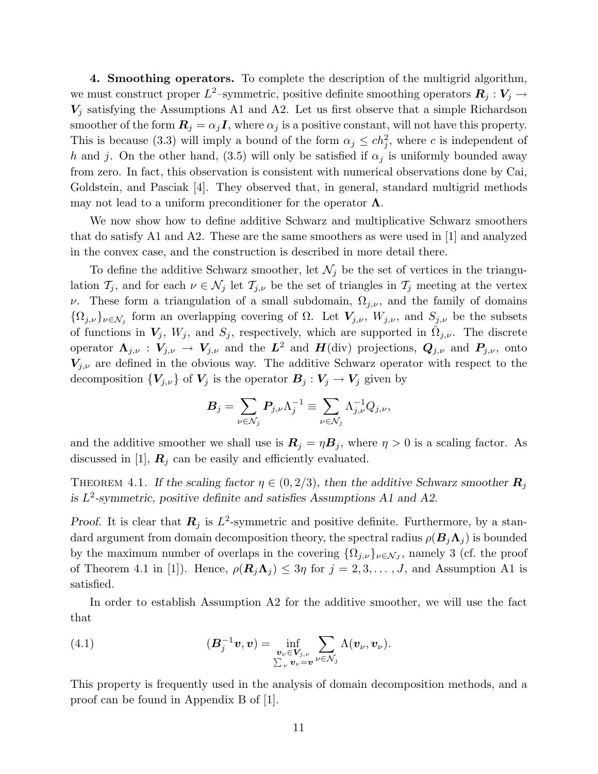4. Smoothing operators. To complete the description of the multigrid algorithm, we must construct proper  $L^2$ -symmetric, positive definite smoothing operators  $\mathbf{R}_j : \mathbf{V}_j \to \mathbf{R}_j$  $V_j$  satisfying the Assumptions A1 and A2. Let us first observe that a simple Richardson smoother of the form  $\mathbf{R}_i = \alpha_i \mathbf{I}$ , where  $\alpha_i$  is a positive constant, will not have this property. This is because (3.3) will imply a bound of the form  $\alpha_j \leq ch_j^2$ , where c is independent of h and j. On the other hand, (3.5) will only be satisfied if  $\alpha_i$  is uniformly bounded away from zero. In fact, this observation is consistent with numerical observations done by Cai, Goldstein, and Pasciak [4]. They observed that, in general, standard multigrid methods may not lead to a uniform preconditioner for the operator  $\Lambda$ .

We now show how to define additive Schwarz and multiplicative Schwarz smoothers that do satisfy A1 and A2. These are the same smoothers as were used in [1] and analyzed in the convex case, and the construction is described in more detail there.

To define the additive Schwarz smoother, let  $\mathcal{N}_j$  be the set of vertices in the triangulation  $\mathcal{T}_j$ , and for each  $\nu \in \mathcal{N}_j$  let  $\mathcal{T}_{j,\nu}$  be the set of triangles in  $\mathcal{T}_j$  meeting at the vertex ν. These form a triangulation of a small subdomain,  $\Omega_{j,\nu}$ , and the family of domains  $\{\Omega_{j,\nu}\}_{\nu\in\mathcal{N}_j}$  form an overlapping covering of  $\Omega$ . Let  $V_{j,\nu}$ ,  $W_{j,\nu}$ , and  $S_{j,\nu}$  be the subsets of functions in  $V_j$ ,  $W_j$ , and  $S_j$ , respectively, which are supported in  $\overline{\Omega}_{j,\nu}$ . The discrete operator  $\Lambda_{j,\nu}: V_{j,\nu} \to V_{j,\nu}$  and the  $L^2$  and  $H(\text{div})$  projections,  $Q_{j,\nu}$  and  $P_{j,\nu}$ , onto  $V_{j,\nu}$  are defined in the obvious way. The additive Schwarz operator with respect to the decomposition  ${V_{j,\nu}}$  of  $V_j$  is the operator  $B_j: V_j \to V_j$  given by

$$
\pmb B_j = \sum_{\nu \in \mathcal{N}_j} \pmb P_{j,\nu} \Lambda_j^{-1} \equiv \sum_{\nu \in \mathcal{N}_j} \Lambda_{j,\nu}^{-1} Q_{j,\nu},
$$

and the additive smoother we shall use is  $\mathbf{R}_j = \eta \mathbf{B}_j$ , where  $\eta > 0$  is a scaling factor. As discussed in [1],  $\mathbf{R}_j$  can be easily and efficiently evaluated.

THEOREM 4.1. If the scaling factor  $\eta \in (0, 2/3)$ , then the additive Schwarz smoother  $\mathbf{R}_j$ is  $L^2$ -symmetric, positive definite and satisfies Assumptions A1 and A2.

Proof. It is clear that  $\mathbf{R}_j$  is  $L^2$ -symmetric and positive definite. Furthermore, by a standard argument from domain decomposition theory, the spectral radius  $\rho(B_i \Lambda_i)$  is bounded by the maximum number of overlaps in the covering  $\{\Omega_{j,\nu}\}_{\nu \in \mathcal{N}_J}$ , namely 3 (cf. the proof of Theorem 4.1 in [1]). Hence,  $\rho(\mathbf{R}_i \Lambda_i) \leq 3\eta$  for  $j = 2, 3, ..., J$ , and Assumption A1 is satisfied.

In order to establish Assumption A2 for the additive smoother, we will use the fact that

(4.1) 
$$
(\mathbf{B}_j^{-1}\mathbf{v}, \mathbf{v}) = \inf_{\substack{\mathbf{v}_\nu \in \mathbf{V}_{j,\nu} \\ \sum_\nu \mathbf{v}_\nu = \mathbf{v}}} \sum_{\nu \in \mathcal{N}_j} \Lambda(\mathbf{v}_\nu, \mathbf{v}_\nu).
$$

This property is frequently used in the analysis of domain decomposition methods, and a proof can be found in Appendix B of [1].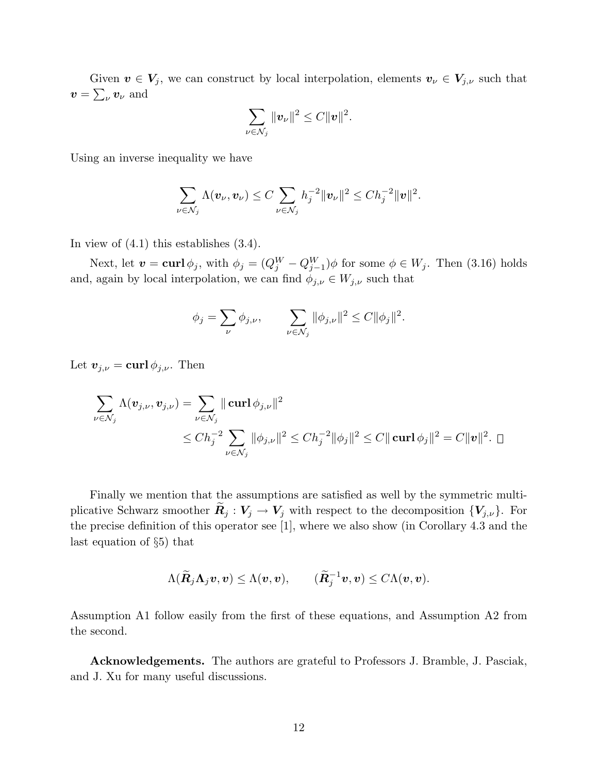Given  $v \in V_j$ , we can construct by local interpolation, elements  $v_{\nu} \in V_{j,\nu}$  such that  $\boldsymbol{v} = \sum_{\nu} \boldsymbol{v}_{\nu}$  and

$$
\sum_{\nu \in \mathcal{N}_j} ||\boldsymbol{v}_{\nu}||^2 \leq C ||\boldsymbol{v}||^2.
$$

Using an inverse inequality we have

$$
\sum_{\nu \in \mathcal{N}_j} \Lambda(\boldsymbol{v}_\nu, \boldsymbol{v}_\nu) \leq C \sum_{\nu \in \mathcal{N}_j} h_j^{-2} \|\boldsymbol{v}_\nu\|^2 \leq C h_j^{-2} \|\boldsymbol{v}\|^2.
$$

In view of (4.1) this establishes (3.4).

Next, let  $\mathbf{v} = \textbf{curl} \phi_j$ , with  $\phi_j = (Q_j^W - Q_{j-1}^W) \phi$  for some  $\phi \in W_j$ . Then (3.16) holds and, again by local interpolation, we can find  $\phi_{j,\nu} \in W_{j,\nu}$  such that

$$
\phi_j = \sum_{\nu} \phi_{j,\nu}, \qquad \sum_{\nu \in \mathcal{N}_j} ||\phi_{j,\nu}||^2 \le C ||\phi_j||^2.
$$

Let  $\mathbf{v}_{j,\nu} = \mathbf{curl} \, \phi_{j,\nu}$ . Then

$$
\sum_{\nu \in \mathcal{N}_j} \Lambda(\mathbf{v}_{j,\nu}, \mathbf{v}_{j,\nu}) = \sum_{\nu \in \mathcal{N}_j} || \operatorname{curl} \phi_{j,\nu} ||^2
$$
  

$$
\leq Ch_j^{-2} \sum_{\nu \in \mathcal{N}_j} ||\phi_{j,\nu}||^2 \leq Ch_j^{-2} ||\phi_j||^2 \leq C || \operatorname{curl} \phi_j||^2 = C ||\mathbf{v}||^2. \quad \Box
$$

Finally we mention that the assumptions are satisfied as well by the symmetric multiplicative Schwarz smoother  $\mathbf{R}_j : V_j \to V_j$  with respect to the decomposition  $\{V_{j,\nu}\}\$ . For the precise definition of this operator see [1], where we also show (in Corollary 4.3 and the last equation of §5) that

$$
\Lambda(\widetilde{\boldsymbol{R}}_j\boldsymbol{\Lambda}_j\boldsymbol{v},\boldsymbol{v})\leq\Lambda(\boldsymbol{v},\boldsymbol{v}),\qquad (\widetilde{\boldsymbol{R}}_j^{-1}\boldsymbol{v},\boldsymbol{v})\leq C\Lambda(\boldsymbol{v},\boldsymbol{v}).
$$

Assumption A1 follow easily from the first of these equations, and Assumption A2 from the second.

Acknowledgements. The authors are grateful to Professors J. Bramble, J. Pasciak, and J. Xu for many useful discussions.